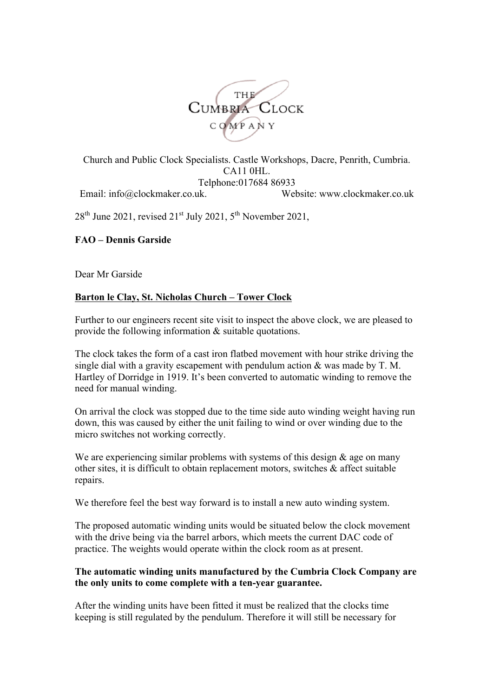

Church and Public Clock Specialists. Castle Workshops, Dacre, Penrith, Cumbria. CA11 0HL. Telphone:017684 86933 Email: info@clockmaker.co.uk. Website: www.clockmaker.co.uk

 $28<sup>th</sup>$  June 2021, revised  $21<sup>st</sup>$  July 2021,  $5<sup>th</sup>$  November 2021,

## **FAO – Dennis Garside**

Dear Mr Garside

## **Barton le Clay, St. Nicholas Church – Tower Clock**

Further to our engineers recent site visit to inspect the above clock, we are pleased to provide the following information & suitable quotations.

The clock takes the form of a cast iron flatbed movement with hour strike driving the single dial with a gravity escapement with pendulum action  $\&$  was made by T. M. Hartley of Dorridge in 1919. It's been converted to automatic winding to remove the need for manual winding.

On arrival the clock was stopped due to the time side auto winding weight having run down, this was caused by either the unit failing to wind or over winding due to the micro switches not working correctly.

We are experiencing similar problems with systems of this design  $\&$  age on many other sites, it is difficult to obtain replacement motors, switches & affect suitable repairs.

We therefore feel the best way forward is to install a new auto winding system.

The proposed automatic winding units would be situated below the clock movement with the drive being via the barrel arbors, which meets the current DAC code of practice. The weights would operate within the clock room as at present.

#### **The automatic winding units manufactured by the Cumbria Clock Company are the only units to come complete with a ten-year guarantee.**

After the winding units have been fitted it must be realized that the clocks time keeping is still regulated by the pendulum. Therefore it will still be necessary for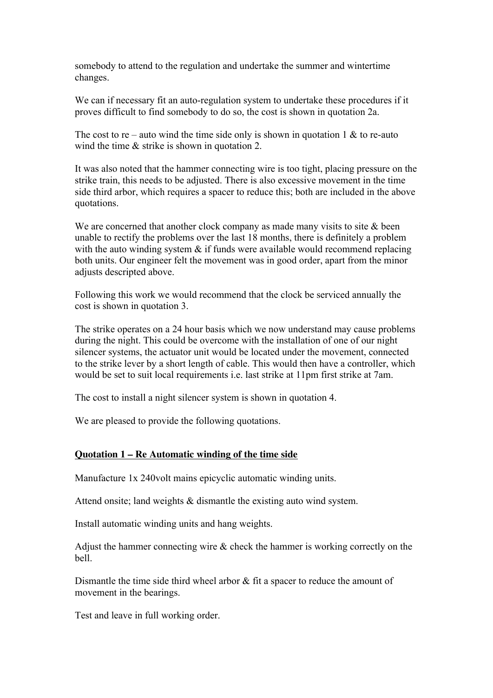somebody to attend to the regulation and undertake the summer and wintertime changes.

We can if necessary fit an auto-regulation system to undertake these procedures if it proves difficult to find somebody to do so, the cost is shown in quotation 2a.

The cost to re – auto wind the time side only is shown in quotation 1  $\&$  to re-auto wind the time  $\&$  strike is shown in quotation 2.

It was also noted that the hammer connecting wire is too tight, placing pressure on the strike train, this needs to be adjusted. There is also excessive movement in the time side third arbor, which requires a spacer to reduce this; both are included in the above quotations.

We are concerned that another clock company as made many visits to site  $\&$  been unable to rectify the problems over the last 18 months, there is definitely a problem with the auto winding system  $\&$  if funds were available would recommend replacing both units. Our engineer felt the movement was in good order, apart from the minor adjusts descripted above.

Following this work we would recommend that the clock be serviced annually the cost is shown in quotation 3.

The strike operates on a 24 hour basis which we now understand may cause problems during the night. This could be overcome with the installation of one of our night silencer systems, the actuator unit would be located under the movement, connected to the strike lever by a short length of cable. This would then have a controller, which would be set to suit local requirements i.e. last strike at 11pm first strike at 7am.

The cost to install a night silencer system is shown in quotation 4.

We are pleased to provide the following quotations.

## **Quotation 1 – Re Automatic winding of the time side**

Manufacture 1x 240volt mains epicyclic automatic winding units.

Attend onsite; land weights & dismantle the existing auto wind system.

Install automatic winding units and hang weights.

Adjust the hammer connecting wire  $\&$  check the hammer is working correctly on the bell.

Dismantle the time side third wheel arbor  $\&$  fit a spacer to reduce the amount of movement in the bearings.

Test and leave in full working order.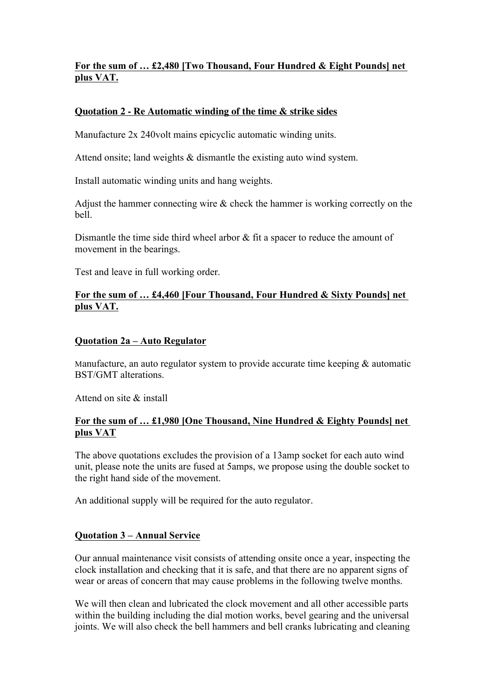# **For the sum of … £2,480 [Two Thousand, Four Hundred & Eight Pounds] net plus VAT.**

## **Quotation 2 - Re Automatic winding of the time & strike sides**

Manufacture 2x 240volt mains epicyclic automatic winding units.

Attend onsite; land weights & dismantle the existing auto wind system.

Install automatic winding units and hang weights.

Adjust the hammer connecting wire & check the hammer is working correctly on the bell.

Dismantle the time side third wheel arbor & fit a spacer to reduce the amount of movement in the bearings.

Test and leave in full working order.

## **For the sum of … £4,460 [Four Thousand, Four Hundred & Sixty Pounds] net plus VAT.**

#### **Quotation 2a – Auto Regulator**

Manufacture, an auto regulator system to provide accurate time keeping & automatic BST/GMT alterations.

Attend on site & install

#### **For the sum of … £1,980 [One Thousand, Nine Hundred & Eighty Pounds] net plus VAT**

The above quotations excludes the provision of a 13amp socket for each auto wind unit, please note the units are fused at 5amps, we propose using the double socket to the right hand side of the movement.

An additional supply will be required for the auto regulator.

## **Quotation 3 – Annual Service**

Our annual maintenance visit consists of attending onsite once a year, inspecting the clock installation and checking that it is safe, and that there are no apparent signs of wear or areas of concern that may cause problems in the following twelve months.

We will then clean and lubricated the clock movement and all other accessible parts within the building including the dial motion works, bevel gearing and the universal joints. We will also check the bell hammers and bell cranks lubricating and cleaning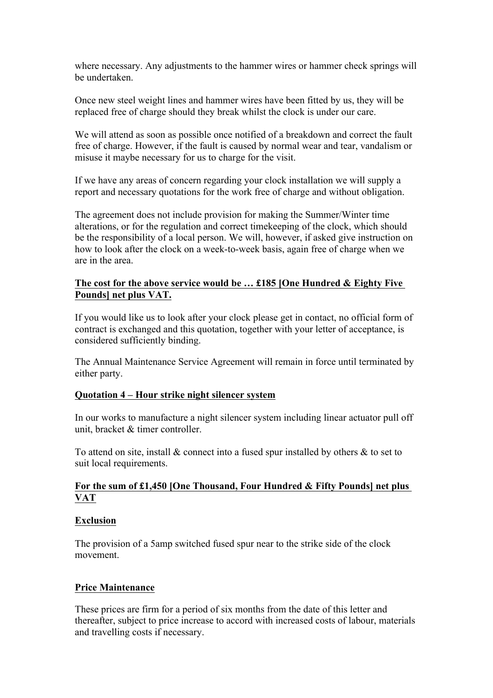where necessary. Any adjustments to the hammer wires or hammer check springs will be undertaken.

Once new steel weight lines and hammer wires have been fitted by us, they will be replaced free of charge should they break whilst the clock is under our care.

We will attend as soon as possible once notified of a breakdown and correct the fault free of charge. However, if the fault is caused by normal wear and tear, vandalism or misuse it maybe necessary for us to charge for the visit.

If we have any areas of concern regarding your clock installation we will supply a report and necessary quotations for the work free of charge and without obligation.

The agreement does not include provision for making the Summer/Winter time alterations, or for the regulation and correct timekeeping of the clock, which should be the responsibility of a local person. We will, however, if asked give instruction on how to look after the clock on a week-to-week basis, again free of charge when we are in the area.

## **The cost for the above service would be … £185 [One Hundred & Eighty Five Pounds] net plus VAT.**

If you would like us to look after your clock please get in contact, no official form of contract is exchanged and this quotation, together with your letter of acceptance, is considered sufficiently binding.

The Annual Maintenance Service Agreement will remain in force until terminated by either party.

## **Quotation 4 – Hour strike night silencer system**

In our works to manufacture a night silencer system including linear actuator pull off unit, bracket & timer controller.

To attend on site, install  $\&$  connect into a fused spur installed by others  $\&$  to set to suit local requirements.

## **For the sum of £1,450 [One Thousand, Four Hundred & Fifty Pounds] net plus VAT**

## **Exclusion**

The provision of a 5amp switched fused spur near to the strike side of the clock movement.

## **Price Maintenance**

These prices are firm for a period of six months from the date of this letter and thereafter, subject to price increase to accord with increased costs of labour, materials and travelling costs if necessary.